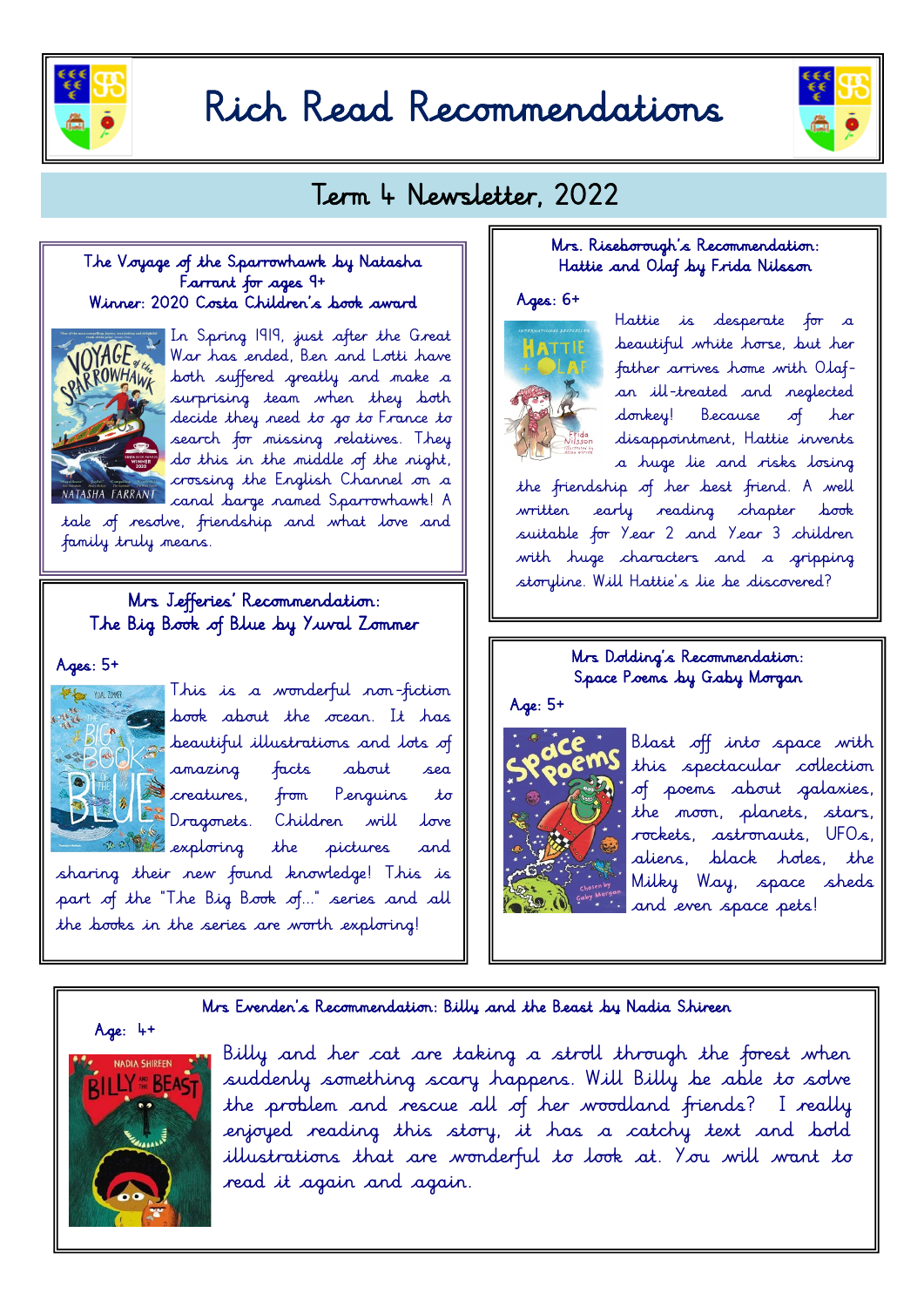

# Rich Read Recommendations



# Term 4 Newsletter, 2022

# The Voyage of the Sparrowhawk by Natasha Farrant for ages  $9+$ Winner: 2020 Costa Children's book award



In Spring 1919, just after the Great War has ended, Ben and Lotti have both suffered greatly and make a surprising team when they both decide they need to go to France to search for missing relatives. They do this in the middle of the night, crossing the English Channel on a canal barge named Sparrowhawk! A

tale of resolve, friendship and what love and family truly means.

# Mrs Jefferies' Recommendation: The Big Book of Blue by Yuval Zommer

#### $A$ ges:  $5+$



This is a wonderful non-fiction book about the ocean. It has beautiful illustrations and lots of amazing facts about sea creatures, from Penguins to Dragonets. Children will love the pictures and sharing their new found knowledge! This is

part of the "The Big Book of..." series and all the books in the series are worth exploring!

# Mrs. Riseborough's Recommendation: Hattie and Olaf by Frida Nilsson

# $Ages: 6+$



Hattie is desperate for a beautiful white horse, but her father arrives home with Olafan ill-treated and neglected donkey! Because of her disappointment, Hattie invents a huge lie and risks losing

the friendship of her best friend. A well written early reading chapter book suitable for Year 2 and Year 3 children with huge characters and a gripping storyline. Will Hattie's lie be discovered?

# Mrs Dolding's Recommendation: Space Poems by Gaby Morgan



Blast off into space with this spectacular collection of poems about galaxies, the moon, planets, stars, rockets, astronauts, UFOs, aliens, black holes, the Milky Way, space sheds and even space pets!

#### Mrs Evenden's Recommendation: Billy and the Beast by Nadia Shireen



Billy and her cat are taking a stroll through the forest when suddenly something scary happens. Will Billy be able to solve the problem and rescue all of her woodland friends? I really enjoyed reading this story, it has a catchy text and bold illustrations that are wonderful to look at. You will want to read it again and again.